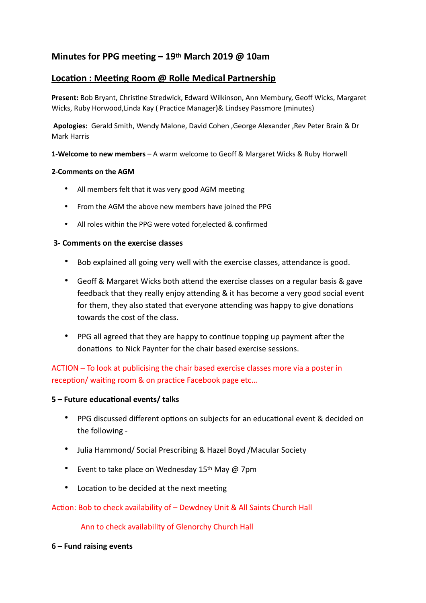# **Minutes for PPG meeting – 19th March 2019 @ 10am**

# **Location : Meeting Room @ Rolle Medical Partnership**

Present: Bob Bryant, Christine Stredwick, Edward Wilkinson, Ann Membury, Geoff Wicks, Margaret Wicks, Ruby Horwood, Linda Kay ( Practice Manager)& Lindsey Passmore (minutes)

 **Apologies:** Gerald Smith, Wendy Malone, David Cohen ,George Alexander ,Rev Peter Brain & Dr Mark Harris

**1-Welcome to new members** – A warm welcome to Geoff & Margaret Wicks & Ruby Horwell

#### **2-Comments on the AGM**

- All members felt that it was very good AGM meeting
- From the AGM the above new members have joined the PPG
- All roles within the PPG were voted for,elected & confirmed

#### **3- Comments on the exercise classes**

- Bob explained all going very well with the exercise classes, attendance is good.
- Geoff & Margaret Wicks both attend the exercise classes on a regular basis & gave feedback that they really enjoy attending & it has become a very good social event for them, they also stated that everyone attending was happy to give donations towards the cost of the class.
- PPG all agreed that they are happy to continue topping up payment after the donations to Nick Paynter for the chair based exercise sessions.

ACTION – To look at publicising the chair based exercise classes more via a poster in reception/ waiting room & on practice Facebook page etc...

#### **5 – Future educational events/ talks**

- PPG discussed different options on subjects for an educational event & decided on the following -
- Julia Hammond/ Social Prescribing & Hazel Boyd /Macular Society
- Event to take place on Wednesday 15<sup>th</sup> May @ 7pm
- Location to be decided at the next meeting

#### Action: Bob to check availability of – Dewdney Unit & All Saints Church Hall

Ann to check availability of Glenorchy Church Hall

#### **6 – Fund raising events**